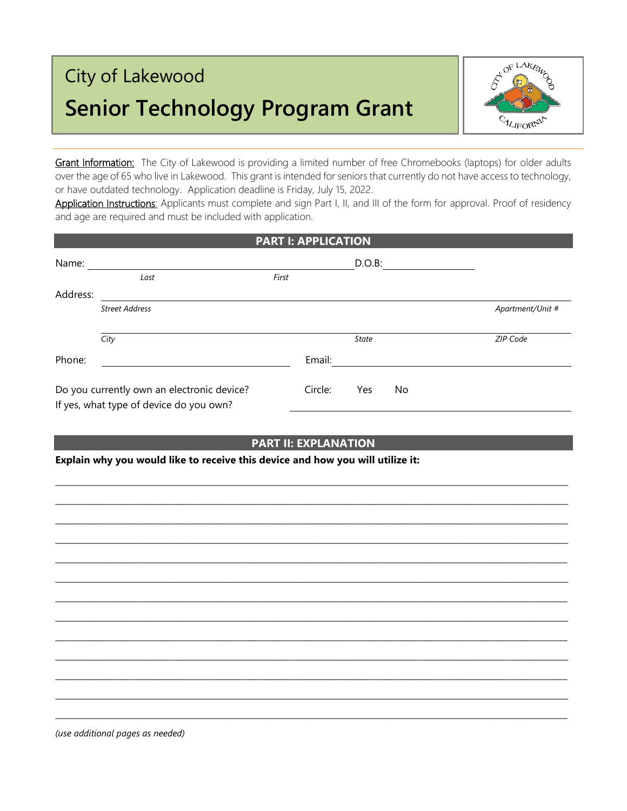# City of Lakewood **Senior Technology Program Grant**



Grant Information: The City of Lakewood is providing a limited number of free Chromebooks (laptops) for older adults over the age of 65 who live in Lakewood. This grant is intended for seniors that currently do not have access to technology, or have outdated technology. Application deadline is Friday, July 15, 2022.

Application Instructions: Applicants must complete and sign Part I, II, and III of the form for approval. Proof of residency and age are required and must be included with application.

|          |                                                                                       |       | <b>PART I: APPLICATION</b> |              |    |                  |
|----------|---------------------------------------------------------------------------------------|-------|----------------------------|--------------|----|------------------|
| Name:    |                                                                                       |       |                            | $D.O.B$ :    |    |                  |
|          | Last                                                                                  | First |                            |              |    |                  |
| Address: |                                                                                       |       |                            |              |    |                  |
|          | <b>Street Address</b>                                                                 |       |                            |              |    | Apartment/Unit # |
|          |                                                                                       |       |                            |              |    |                  |
|          | City                                                                                  |       |                            | <b>State</b> |    | ZIP Code         |
| Phone:   |                                                                                       |       | Email:                     |              |    |                  |
|          | Do you currently own an electronic device?<br>If yes, what type of device do you own? |       | Circle:                    | Yes          | No |                  |

## **PART II: EXPLANATION**

\_\_\_\_\_\_\_\_\_\_\_\_\_\_\_\_\_\_\_\_\_\_\_\_\_\_\_\_\_\_\_\_\_\_\_\_\_\_\_\_\_\_\_\_\_\_\_\_\_\_\_\_\_\_\_\_\_\_\_\_\_\_\_\_\_\_\_\_\_\_\_\_\_\_\_\_\_\_\_\_\_\_\_\_\_\_\_\_\_\_\_\_\_\_\_\_\_\_\_\_\_\_\_\_\_\_\_\_\_\_\_\_\_\_\_\_\_\_\_\_\_\_\_\_\_\_\_ \_\_\_\_\_\_\_\_\_\_\_\_\_\_\_\_\_\_\_\_\_\_\_\_\_\_\_\_\_\_\_\_\_\_\_\_\_\_\_\_\_\_\_\_\_\_\_\_\_\_\_\_\_\_\_\_\_\_\_\_\_\_\_\_\_\_\_\_\_\_\_\_\_\_\_\_\_\_\_\_\_\_\_\_\_\_\_\_\_\_\_\_\_\_\_\_\_\_\_\_\_\_\_\_\_\_\_\_\_\_\_\_\_\_\_\_\_\_\_\_\_\_\_\_\_\_\_ \_\_\_\_\_\_\_\_\_\_\_\_\_\_\_\_\_\_\_\_\_\_\_\_\_\_\_\_\_\_\_\_\_\_\_\_\_\_\_\_\_\_\_\_\_\_\_\_\_\_\_\_\_\_\_\_\_\_\_\_\_\_\_\_\_\_\_\_\_\_\_\_\_\_\_\_\_\_\_\_\_\_\_\_\_\_\_\_\_\_\_\_\_\_\_\_\_\_\_\_\_\_\_\_\_\_\_\_\_\_\_\_\_\_\_\_\_\_\_\_\_\_\_\_\_\_\_ \_\_\_\_\_\_\_\_\_\_\_\_\_\_\_\_\_\_\_\_\_\_\_\_\_\_\_\_\_\_\_\_\_\_\_\_\_\_\_\_\_\_\_\_\_\_\_\_\_\_\_\_\_\_\_\_\_\_\_\_\_\_\_\_\_\_\_\_\_\_\_\_\_\_\_\_\_\_\_\_\_\_\_\_\_\_\_\_\_\_\_\_\_\_\_\_\_\_\_\_\_\_\_\_\_\_\_\_\_\_\_\_\_\_\_\_\_\_\_\_\_\_\_\_\_\_\_ \_\_\_\_\_\_\_\_\_\_\_\_\_\_\_\_\_\_\_\_\_\_\_\_\_\_\_\_\_\_\_\_\_\_\_\_\_\_\_\_\_\_\_\_\_\_\_\_\_\_\_\_\_\_\_\_\_\_\_\_\_\_\_\_\_\_\_\_\_\_\_\_\_\_\_\_\_\_\_\_\_\_\_\_\_\_\_\_\_\_\_\_\_\_\_\_\_\_\_\_\_\_\_\_\_\_\_\_\_\_\_\_\_\_\_\_\_\_\_\_\_\_\_\_\_\_\_ \_\_\_\_\_\_\_\_\_\_\_\_\_\_\_\_\_\_\_\_\_\_\_\_\_\_\_\_\_\_\_\_\_\_\_\_\_\_\_\_\_\_\_\_\_\_\_\_\_\_\_\_\_\_\_\_\_\_\_\_\_\_\_\_\_\_\_\_\_\_\_\_\_\_\_\_\_\_\_\_\_\_\_\_\_\_\_\_\_\_\_\_\_\_\_\_\_\_\_\_\_\_\_\_\_\_\_\_\_\_\_\_\_\_\_\_\_\_\_\_\_\_\_\_\_\_\_ \_\_\_\_\_\_\_\_\_\_\_\_\_\_\_\_\_\_\_\_\_\_\_\_\_\_\_\_\_\_\_\_\_\_\_\_\_\_\_\_\_\_\_\_\_\_\_\_\_\_\_\_\_\_\_\_\_\_\_\_\_\_\_\_\_\_\_\_\_\_\_\_\_\_\_\_\_\_\_\_\_\_\_\_\_\_\_\_\_\_\_\_\_\_\_\_\_\_\_\_\_\_\_\_\_\_\_\_\_\_\_\_\_\_\_\_\_\_\_\_\_\_\_\_\_\_\_ \_\_\_\_\_\_\_\_\_\_\_\_\_\_\_\_\_\_\_\_\_\_\_\_\_\_\_\_\_\_\_\_\_\_\_\_\_\_\_\_\_\_\_\_\_\_\_\_\_\_\_\_\_\_\_\_\_\_\_\_\_\_\_\_\_\_\_\_\_\_\_\_\_\_\_\_\_\_\_\_\_\_\_\_\_\_\_\_\_\_\_\_\_\_\_\_\_\_\_\_\_\_\_\_\_\_\_\_\_\_\_\_\_\_\_\_\_\_\_\_\_\_\_\_\_\_\_ \_\_\_\_\_\_\_\_\_\_\_\_\_\_\_\_\_\_\_\_\_\_\_\_\_\_\_\_\_\_\_\_\_\_\_\_\_\_\_\_\_\_\_\_\_\_\_\_\_\_\_\_\_\_\_\_\_\_\_\_\_\_\_\_\_\_\_\_\_\_\_\_\_\_\_\_\_\_\_\_\_\_\_\_\_\_\_\_\_\_\_\_\_\_\_\_\_\_\_\_\_\_\_\_\_\_\_\_\_\_\_\_\_\_\_\_\_\_\_\_\_\_\_\_\_\_\_ \_\_\_\_\_\_\_\_\_\_\_\_\_\_\_\_\_\_\_\_\_\_\_\_\_\_\_\_\_\_\_\_\_\_\_\_\_\_\_\_\_\_\_\_\_\_\_\_\_\_\_\_\_\_\_\_\_\_\_\_\_\_\_\_\_\_\_\_\_\_\_\_\_\_\_\_\_\_\_\_\_\_\_\_\_\_\_\_\_\_\_\_\_\_\_\_\_\_\_\_\_\_\_\_\_\_\_\_\_\_\_\_\_\_\_\_\_\_\_\_\_\_\_\_\_\_\_ \_\_\_\_\_\_\_\_\_\_\_\_\_\_\_\_\_\_\_\_\_\_\_\_\_\_\_\_\_\_\_\_\_\_\_\_\_\_\_\_\_\_\_\_\_\_\_\_\_\_\_\_\_\_\_\_\_\_\_\_\_\_\_\_\_\_\_\_\_\_\_\_\_\_\_\_\_\_\_\_\_\_\_\_\_\_\_\_\_\_\_\_\_\_\_\_\_\_\_\_\_\_\_\_\_\_\_\_\_\_\_\_\_\_\_\_\_\_\_\_\_\_\_\_\_\_\_ \_\_\_\_\_\_\_\_\_\_\_\_\_\_\_\_\_\_\_\_\_\_\_\_\_\_\_\_\_\_\_\_\_\_\_\_\_\_\_\_\_\_\_\_\_\_\_\_\_\_\_\_\_\_\_\_\_\_\_\_\_\_\_\_\_\_\_\_\_\_\_\_\_\_\_\_\_\_\_\_\_\_\_\_\_\_\_\_\_\_\_\_\_\_\_\_\_\_\_\_\_\_\_\_\_\_\_\_\_\_\_\_\_\_\_\_\_\_\_\_\_\_\_\_\_\_\_ \_\_\_\_\_\_\_\_\_\_\_\_\_\_\_\_\_\_\_\_\_\_\_\_\_\_\_\_\_\_\_\_\_\_\_\_\_\_\_\_\_\_\_\_\_\_\_\_\_\_\_\_\_\_\_\_\_\_\_\_\_\_\_\_\_\_\_\_\_\_\_\_\_\_\_\_\_\_\_\_\_\_\_\_\_\_\_\_\_\_\_\_\_\_\_\_\_\_\_\_\_\_\_\_\_\_\_\_\_\_\_\_\_\_\_\_\_\_\_\_\_\_\_\_\_\_\_

**Explain why you would like to receive this device and how you will utilize it:**

*(use additional pages as needed)*

j ł **Application**